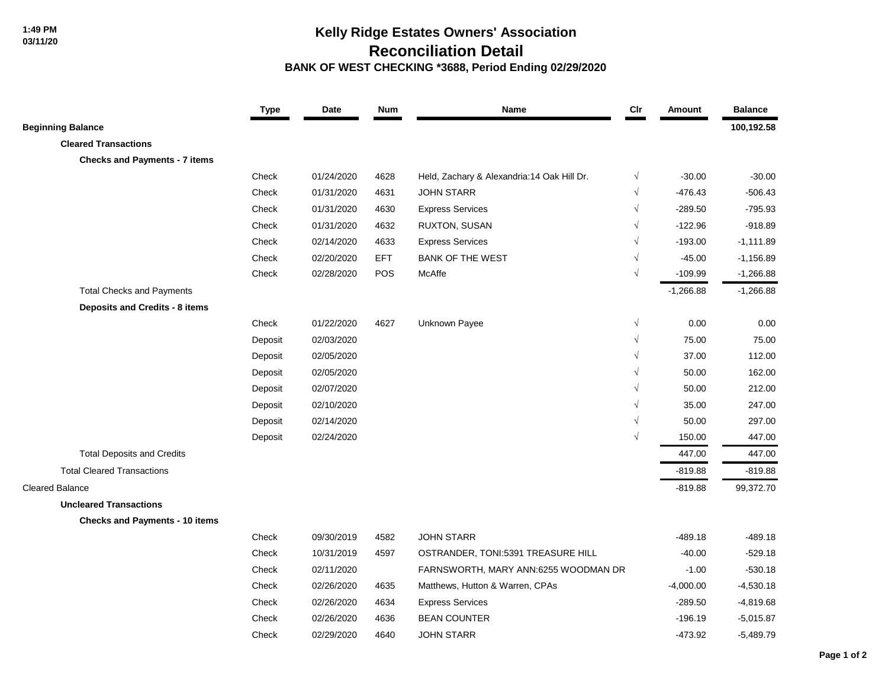## **Kelly Ridge Estates Owners' Association Reconciliation Detail**

 **BANK OF WEST CHECKING \*3688, Period Ending 02/29/2020**

|                                       | <b>Type</b> | Date       | <b>Num</b> | Name                                       | Cir        | Amount      | <b>Balance</b> |
|---------------------------------------|-------------|------------|------------|--------------------------------------------|------------|-------------|----------------|
| <b>Beginning Balance</b>              |             |            |            |                                            |            |             | 100,192.58     |
| <b>Cleared Transactions</b>           |             |            |            |                                            |            |             |                |
| <b>Checks and Payments - 7 items</b>  |             |            |            |                                            |            |             |                |
|                                       | Check       | 01/24/2020 | 4628       | Held, Zachary & Alexandria:14 Oak Hill Dr. | $\sqrt{}$  | $-30.00$    | $-30.00$       |
|                                       | Check       | 01/31/2020 | 4631       | <b>JOHN STARR</b>                          | $\sqrt{}$  | $-476.43$   | $-506.43$      |
|                                       | Check       | 01/31/2020 | 4630       | <b>Express Services</b>                    | $\sqrt{ }$ | $-289.50$   | $-795.93$      |
|                                       | Check       | 01/31/2020 | 4632       | RUXTON, SUSAN                              |            | $-122.96$   | $-918.89$      |
|                                       | Check       | 02/14/2020 | 4633       | <b>Express Services</b>                    | V          | $-193.00$   | $-1,111.89$    |
|                                       | Check       | 02/20/2020 | <b>EFT</b> | <b>BANK OF THE WEST</b>                    |            | $-45.00$    | $-1,156.89$    |
|                                       | Check       | 02/28/2020 | <b>POS</b> | McAffe                                     | $\sqrt{ }$ | $-109.99$   | $-1,266.88$    |
| <b>Total Checks and Payments</b>      |             |            |            |                                            |            | $-1,266.88$ | $-1,266.88$    |
| Deposits and Credits - 8 items        |             |            |            |                                            |            |             |                |
|                                       | Check       | 01/22/2020 | 4627       | Unknown Payee                              | $\sqrt{}$  | 0.00        | 0.00           |
|                                       | Deposit     | 02/03/2020 |            |                                            | $\sqrt{}$  | 75.00       | 75.00          |
|                                       | Deposit     | 02/05/2020 |            |                                            | $\sqrt{ }$ | 37.00       | 112.00         |
|                                       | Deposit     | 02/05/2020 |            |                                            |            | 50.00       | 162.00         |
|                                       | Deposit     | 02/07/2020 |            |                                            | $\sqrt{}$  | 50.00       | 212.00         |
|                                       | Deposit     | 02/10/2020 |            |                                            | $\sqrt{}$  | 35.00       | 247.00         |
|                                       | Deposit     | 02/14/2020 |            |                                            | $\sqrt{}$  | 50.00       | 297.00         |
|                                       | Deposit     | 02/24/2020 |            |                                            |            | 150.00      | 447.00         |
| <b>Total Deposits and Credits</b>     |             |            |            |                                            |            | 447.00      | 447.00         |
| <b>Total Cleared Transactions</b>     |             |            |            |                                            |            | $-819.88$   | $-819.88$      |
| <b>Cleared Balance</b>                |             |            |            |                                            |            | $-819.88$   | 99,372.70      |
| <b>Uncleared Transactions</b>         |             |            |            |                                            |            |             |                |
| <b>Checks and Payments - 10 items</b> |             |            |            |                                            |            |             |                |
|                                       | Check       | 09/30/2019 | 4582       | <b>JOHN STARR</b>                          |            | $-489.18$   | $-489.18$      |
|                                       | Check       | 10/31/2019 | 4597       | OSTRANDER, TONI:5391 TREASURE HILL         |            | $-40.00$    | $-529.18$      |
|                                       | Check       | 02/11/2020 |            | FARNSWORTH, MARY ANN:6255 WOODMAN DR       |            | $-1.00$     | $-530.18$      |
|                                       | Check       | 02/26/2020 | 4635       | Matthews, Hutton & Warren, CPAs            |            | $-4,000.00$ | $-4,530.18$    |
|                                       | Check       | 02/26/2020 | 4634       | <b>Express Services</b>                    |            | $-289.50$   | $-4,819.68$    |
|                                       | Check       | 02/26/2020 | 4636       | <b>BEAN COUNTER</b>                        |            | $-196.19$   | $-5,015.87$    |
|                                       | Check       | 02/29/2020 | 4640       | <b>JOHN STARR</b>                          |            | $-473.92$   | $-5,489.79$    |